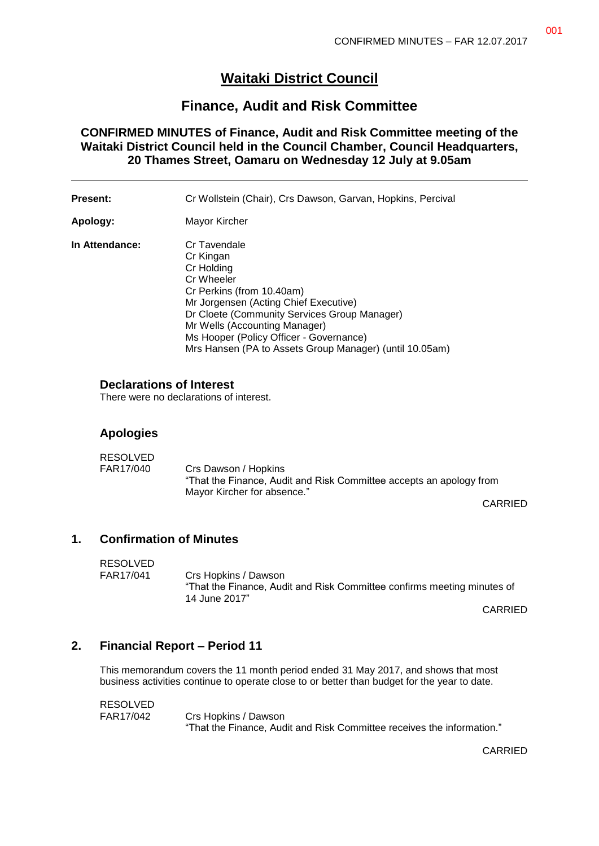# **Waitaki District Council**

## **Finance, Audit and Risk Committee**

**CONFIRMED MINUTES of Finance, Audit and Risk Committee meeting of the Waitaki District Council held in the Council Chamber, Council Headquarters, 20 Thames Street, Oamaru on Wednesday 12 July at 9.05am**

| <b>Present:</b> | Cr Wollstein (Chair), Crs Dawson, Garvan, Hopkins, Percival                                                                                                                                                                                                                                                        |  |
|-----------------|--------------------------------------------------------------------------------------------------------------------------------------------------------------------------------------------------------------------------------------------------------------------------------------------------------------------|--|
| Apology:        | Mayor Kircher                                                                                                                                                                                                                                                                                                      |  |
| In Attendance:  | Cr Tavendale<br>Cr Kingan<br>Cr Holding<br>Cr Wheeler<br>Cr Perkins (from 10.40am)<br>Mr Jorgensen (Acting Chief Executive)<br>Dr Cloete (Community Services Group Manager)<br>Mr Wells (Accounting Manager)<br>Ms Hooper (Policy Officer - Governance)<br>Mrs Hansen (PA to Assets Group Manager) (until 10.05am) |  |

### **Declarations of Interest**

There were no declarations of interest.

### **Apologies**

| RESOLVED  |                                                                                                                            |
|-----------|----------------------------------------------------------------------------------------------------------------------------|
| FAR17/040 | Crs Dawson / Hopkins<br>"That the Finance, Audit and Risk Committee accepts an apology from<br>Mayor Kircher for absence." |
|           |                                                                                                                            |

CARRIED

## **1. Confirmation of Minutes**

| <b>RESOLVED</b> |                                                                                                                  |
|-----------------|------------------------------------------------------------------------------------------------------------------|
| FAR17/041       | Crs Hopkins / Dawson<br>"That the Finance, Audit and Risk Committee confirms meeting minutes of<br>14 June 2017" |

CARRIED

### **2. Financial Report – Period 11**

This memorandum covers the 11 month period ended 31 May 2017, and shows that most business activities continue to operate close to or better than budget for the year to date.

RESOLVED

FAR17/042 Crs Hopkins / Dawson "That the Finance, Audit and Risk Committee receives the information."

CARRIED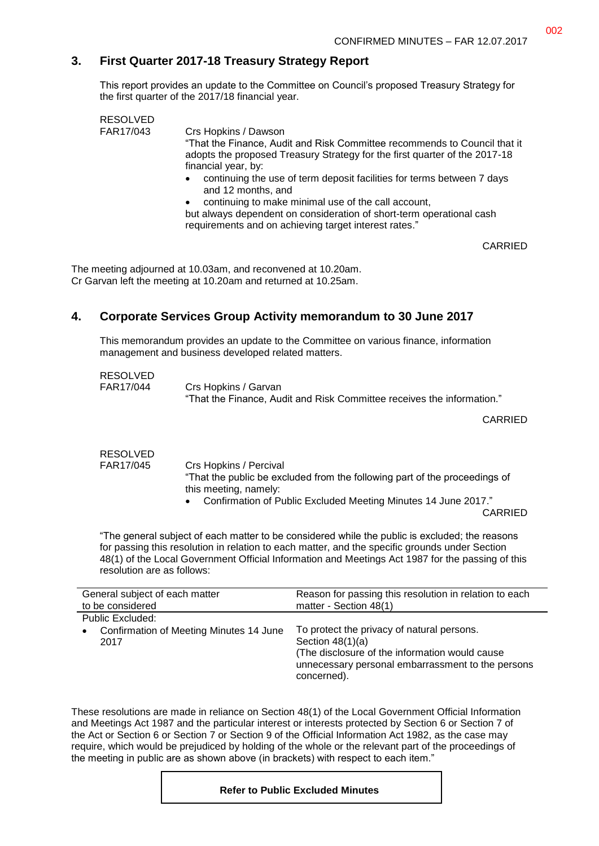## **3. First Quarter 2017-18 Treasury Strategy Report**

This report provides an update to the Committee on Council's proposed Treasury Strategy for the first quarter of the 2017/18 financial year.

|  | <b>RESOLVED</b> |                                                                                                                                                                                 |
|--|-----------------|---------------------------------------------------------------------------------------------------------------------------------------------------------------------------------|
|  | FAR17/043       | Crs Hopkins / Dawson<br>"That the Finance, Audit and Risk Committee recommends to Council that it<br>adopts the proposed Treasury Strategy for the first quarter of the 2017-18 |
|  |                 | financial year, by:                                                                                                                                                             |
|  |                 | continuing the use of term deposit facilities for terms between 7 days<br>and 12 months, and                                                                                    |
|  |                 | continuing to make minimal use of the call account,                                                                                                                             |
|  |                 | but always dependent on consideration of short-term operational cash<br>requirements and on achieving target interest rates."                                                   |

CARRIED

The meeting adjourned at 10.03am, and reconvened at 10.20am. Cr Garvan left the meeting at 10.20am and returned at 10.25am.

## **4. Corporate Services Group Activity memorandum to 30 June 2017**

This memorandum provides an update to the Committee on various finance, information management and business developed related matters.

| <b>RESOLVED</b> |                                                                        |
|-----------------|------------------------------------------------------------------------|
| FAR17/044       | Crs Hopkins / Garvan                                                   |
|                 | "That the Finance, Audit and Risk Committee receives the information." |

CARRIED

| RESOLVED  |                                                                                                     |
|-----------|-----------------------------------------------------------------------------------------------------|
| FAR17/045 | Crs Hopkins / Percival                                                                              |
|           | "That the public be excluded from the following part of the proceedings of<br>this meeting, namely: |
|           | • Confirmation of Public Excluded Meeting Minutes 14 June 2017."                                    |
|           | CARRIED                                                                                             |

"The general subject of each matter to be considered while the public is excluded; the reasons for passing this resolution in relation to each matter, and the specific grounds under Section 48(1) of the Local Government Official Information and Meetings Act 1987 for the passing of this resolution are as follows:

| General subject of each matter                  | Reason for passing this resolution in relation to each                                                                                                                                  |  |
|-------------------------------------------------|-----------------------------------------------------------------------------------------------------------------------------------------------------------------------------------------|--|
| to be considered                                | matter - Section 48(1)                                                                                                                                                                  |  |
| Public Excluded:                                |                                                                                                                                                                                         |  |
| Confirmation of Meeting Minutes 14 June<br>2017 | To protect the privacy of natural persons.<br>Section $48(1)(a)$<br>(The disclosure of the information would cause)<br>unnecessary personal embarrassment to the persons<br>concerned). |  |

These resolutions are made in reliance on Section 48(1) of the Local Government Official Information and Meetings Act 1987 and the particular interest or interests protected by Section 6 or Section 7 of the Act or Section 6 or Section 7 or Section 9 of the Official Information Act 1982, as the case may require, which would be prejudiced by holding of the whole or the relevant part of the proceedings of the meeting in public are as shown above (in brackets) with respect to each item."

#### **Refer to Public Excluded Minutes**